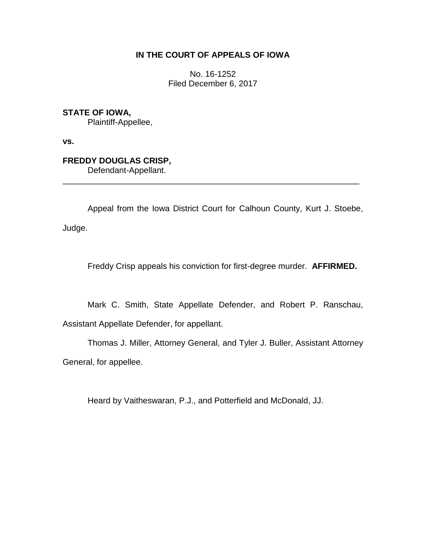## **IN THE COURT OF APPEALS OF IOWA**

No. 16-1252 Filed December 6, 2017

**STATE OF IOWA,**

Plaintiff-Appellee,

**vs.**

# **FREDDY DOUGLAS CRISP,**

Defendant-Appellant.

Appeal from the Iowa District Court for Calhoun County, Kurt J. Stoebe, Judge.

\_\_\_\_\_\_\_\_\_\_\_\_\_\_\_\_\_\_\_\_\_\_\_\_\_\_\_\_\_\_\_\_\_\_\_\_\_\_\_\_\_\_\_\_\_\_\_\_\_\_\_\_\_\_\_\_\_\_\_\_\_\_\_\_

Freddy Crisp appeals his conviction for first-degree murder. **AFFIRMED.**

Mark C. Smith, State Appellate Defender, and Robert P. Ranschau, Assistant Appellate Defender, for appellant.

Thomas J. Miller, Attorney General, and Tyler J. Buller, Assistant Attorney General, for appellee.

Heard by Vaitheswaran, P.J., and Potterfield and McDonald, JJ.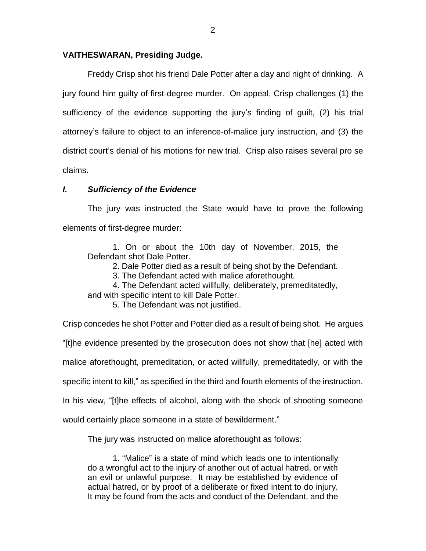### **VAITHESWARAN, Presiding Judge.**

Freddy Crisp shot his friend Dale Potter after a day and night of drinking. A jury found him guilty of first-degree murder. On appeal, Crisp challenges (1) the sufficiency of the evidence supporting the jury's finding of guilt, (2) his trial attorney's failure to object to an inference-of-malice jury instruction, and (3) the district court's denial of his motions for new trial. Crisp also raises several pro se claims.

### *I. Sufficiency of the Evidence*

The jury was instructed the State would have to prove the following elements of first-degree murder:

1. On or about the 10th day of November, 2015, the Defendant shot Dale Potter.

2. Dale Potter died as a result of being shot by the Defendant.

3. The Defendant acted with malice aforethought.

4. The Defendant acted willfully, deliberately, premeditatedly,

and with specific intent to kill Dale Potter.

5. The Defendant was not justified.

Crisp concedes he shot Potter and Potter died as a result of being shot. He argues

"[t]he evidence presented by the prosecution does not show that [he] acted with

malice aforethought, premeditation, or acted willfully, premeditatedly, or with the

specific intent to kill," as specified in the third and fourth elements of the instruction.

In his view, "[t]he effects of alcohol, along with the shock of shooting someone

would certainly place someone in a state of bewilderment."

The jury was instructed on malice aforethought as follows:

1. "Malice" is a state of mind which leads one to intentionally do a wrongful act to the injury of another out of actual hatred, or with an evil or unlawful purpose. It may be established by evidence of actual hatred, or by proof of a deliberate or fixed intent to do injury. It may be found from the acts and conduct of the Defendant, and the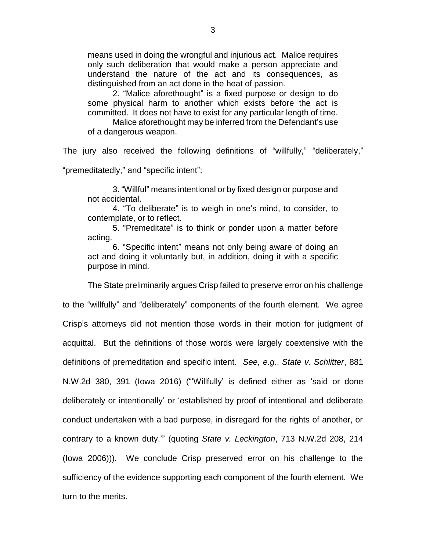means used in doing the wrongful and injurious act. Malice requires only such deliberation that would make a person appreciate and understand the nature of the act and its consequences, as distinguished from an act done in the heat of passion.

2. "Malice aforethought" is a fixed purpose or design to do some physical harm to another which exists before the act is committed. It does not have to exist for any particular length of time.

Malice aforethought may be inferred from the Defendant's use of a dangerous weapon.

The jury also received the following definitions of "willfully," "deliberately," "premeditatedly," and "specific intent":

3. "Willful" means intentional or by fixed design or purpose and not accidental.

4. "To deliberate" is to weigh in one's mind, to consider, to contemplate, or to reflect.

5. "Premeditate" is to think or ponder upon a matter before acting.

6. "Specific intent" means not only being aware of doing an act and doing it voluntarily but, in addition, doing it with a specific purpose in mind.

The State preliminarily argues Crisp failed to preserve error on his challenge to the "willfully" and "deliberately" components of the fourth element. We agree Crisp's attorneys did not mention those words in their motion for judgment of acquittal. But the definitions of those words were largely coextensive with the definitions of premeditation and specific intent. *See, e.g.*, *State v. Schlitter*, 881 N.W.2d 380, 391 (Iowa 2016) ("'Willfully' is defined either as 'said or done deliberately or intentionally' or 'established by proof of intentional and deliberate conduct undertaken with a bad purpose, in disregard for the rights of another, or contrary to a known duty.'" (quoting *State v. Leckington*, 713 N.W.2d 208, 214 (Iowa 2006))). We conclude Crisp preserved error on his challenge to the sufficiency of the evidence supporting each component of the fourth element. We turn to the merits.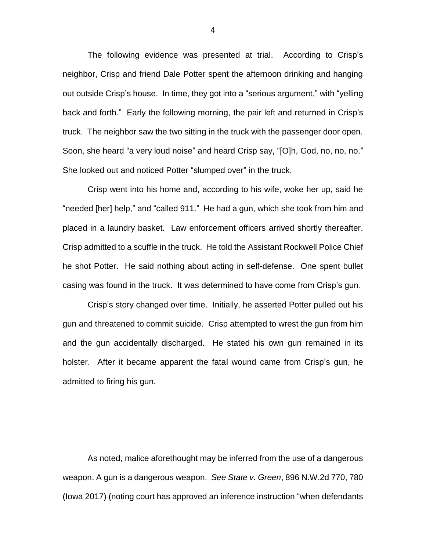The following evidence was presented at trial. According to Crisp's neighbor, Crisp and friend Dale Potter spent the afternoon drinking and hanging out outside Crisp's house. In time, they got into a "serious argument," with "yelling back and forth." Early the following morning, the pair left and returned in Crisp's truck. The neighbor saw the two sitting in the truck with the passenger door open. Soon, she heard "a very loud noise" and heard Crisp say, "[O]h, God, no, no, no." She looked out and noticed Potter "slumped over" in the truck.

Crisp went into his home and, according to his wife, woke her up, said he "needed [her] help," and "called 911." He had a gun, which she took from him and placed in a laundry basket. Law enforcement officers arrived shortly thereafter. Crisp admitted to a scuffle in the truck. He told the Assistant Rockwell Police Chief he shot Potter. He said nothing about acting in self-defense. One spent bullet casing was found in the truck. It was determined to have come from Crisp's gun.

Crisp's story changed over time. Initially, he asserted Potter pulled out his gun and threatened to commit suicide. Crisp attempted to wrest the gun from him and the gun accidentally discharged. He stated his own gun remained in its holster. After it became apparent the fatal wound came from Crisp's gun, he admitted to firing his gun.

As noted, malice aforethought may be inferred from the use of a dangerous weapon. A gun is a dangerous weapon. *See State v. Green*, 896 N.W.2d 770, 780 (Iowa 2017) (noting court has approved an inference instruction "when defendants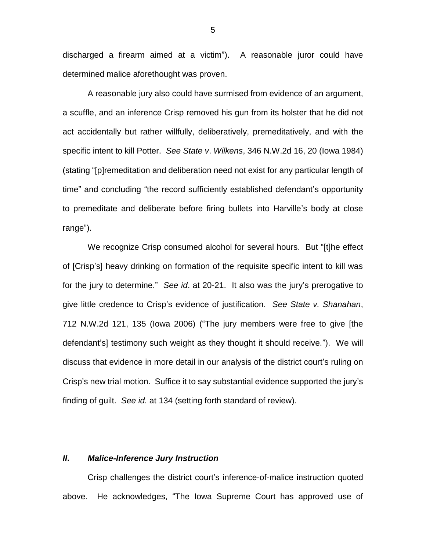discharged a firearm aimed at a victim"). A reasonable juror could have determined malice aforethought was proven.

A reasonable jury also could have surmised from evidence of an argument, a scuffle, and an inference Crisp removed his gun from its holster that he did not act accidentally but rather willfully, deliberatively, premeditatively, and with the specific intent to kill Potter. *See State v*. *Wilkens*, 346 N.W.2d 16, 20 (Iowa 1984) (stating "[p]remeditation and deliberation need not exist for any particular length of time" and concluding "the record sufficiently established defendant's opportunity to premeditate and deliberate before firing bullets into Harville's body at close range").

We recognize Crisp consumed alcohol for several hours. But "[t]he effect of [Crisp's] heavy drinking on formation of the requisite specific intent to kill was for the jury to determine." *See id*. at 20-21. It also was the jury's prerogative to give little credence to Crisp's evidence of justification. *See State v. Shanahan*, 712 N.W.2d 121, 135 (Iowa 2006) ("The jury members were free to give [the defendant's] testimony such weight as they thought it should receive."). We will discuss that evidence in more detail in our analysis of the district court's ruling on Crisp's new trial motion. Suffice it to say substantial evidence supported the jury's finding of guilt. *See id.* at 134 (setting forth standard of review).

#### *II***.** *Malice-Inference Jury Instruction*

Crisp challenges the district court's inference-of-malice instruction quoted above. He acknowledges, "The Iowa Supreme Court has approved use of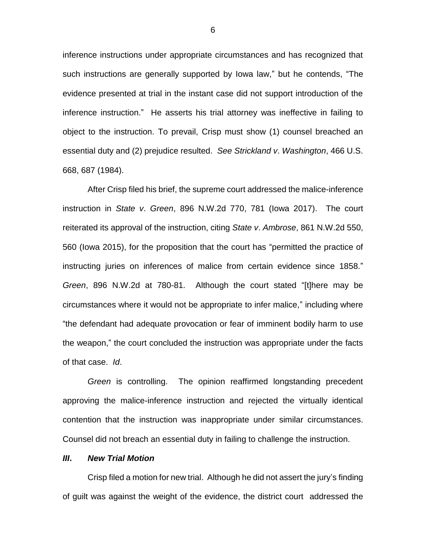inference instructions under appropriate circumstances and has recognized that such instructions are generally supported by Iowa law," but he contends, "The evidence presented at trial in the instant case did not support introduction of the inference instruction." He asserts his trial attorney was ineffective in failing to object to the instruction. To prevail, Crisp must show (1) counsel breached an essential duty and (2) prejudice resulted. *See Strickland v*. *Washington*, 466 U.S. 668, 687 (1984).

After Crisp filed his brief, the supreme court addressed the malice-inference instruction in *State v*. *Green*, 896 N.W.2d 770, 781 (Iowa 2017). The court reiterated its approval of the instruction, citing *State v*. *Ambrose*, 861 N.W.2d 550, 560 (Iowa 2015), for the proposition that the court has "permitted the practice of instructing juries on inferences of malice from certain evidence since 1858." *Green*, 896 N.W.2d at 780-81. Although the court stated "[t]here may be circumstances where it would not be appropriate to infer malice," including where "the defendant had adequate provocation or fear of imminent bodily harm to use the weapon," the court concluded the instruction was appropriate under the facts of that case. *Id*.

*Green* is controlling. The opinion reaffirmed longstanding precedent approving the malice-inference instruction and rejected the virtually identical contention that the instruction was inappropriate under similar circumstances. Counsel did not breach an essential duty in failing to challenge the instruction.

#### *III***.** *New Trial Motion*

Crisp filed a motion for new trial. Although he did not assert the jury's finding of guilt was against the weight of the evidence, the district court addressed the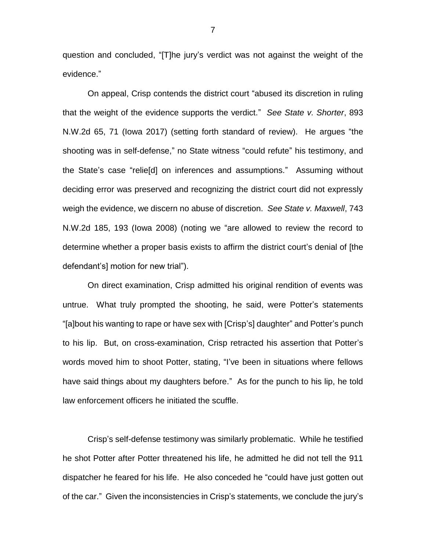question and concluded, "[T]he jury's verdict was not against the weight of the evidence."

On appeal, Crisp contends the district court "abused its discretion in ruling that the weight of the evidence supports the verdict." *See State v. Shorter*, 893 N.W.2d 65, 71 (Iowa 2017) (setting forth standard of review). He argues "the shooting was in self-defense," no State witness "could refute" his testimony, and the State's case "relie[d] on inferences and assumptions." Assuming without deciding error was preserved and recognizing the district court did not expressly weigh the evidence, we discern no abuse of discretion. *See State v. Maxwell*, 743 N.W.2d 185, 193 (Iowa 2008) (noting we "are allowed to review the record to determine whether a proper basis exists to affirm the district court's denial of [the defendant's] motion for new trial").

On direct examination, Crisp admitted his original rendition of events was untrue. What truly prompted the shooting, he said, were Potter's statements "[a]bout his wanting to rape or have sex with [Crisp's] daughter" and Potter's punch to his lip. But, on cross-examination, Crisp retracted his assertion that Potter's words moved him to shoot Potter, stating, "I've been in situations where fellows have said things about my daughters before." As for the punch to his lip, he told law enforcement officers he initiated the scuffle.

Crisp's self-defense testimony was similarly problematic. While he testified he shot Potter after Potter threatened his life, he admitted he did not tell the 911 dispatcher he feared for his life. He also conceded he "could have just gotten out of the car." Given the inconsistencies in Crisp's statements, we conclude the jury's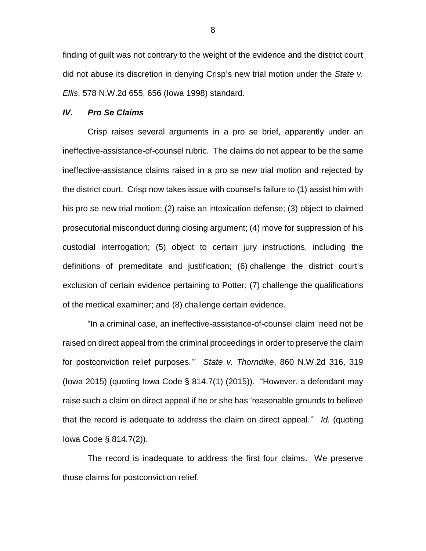finding of guilt was not contrary to the weight of the evidence and the district court did not abuse its discretion in denying Crisp's new trial motion under the *State v. Ellis*, 578 N.W.2d 655, 656 (Iowa 1998) standard.

#### *IV. Pro Se Claims*

Crisp raises several arguments in a pro se brief, apparently under an ineffective-assistance-of-counsel rubric. The claims do not appear to be the same ineffective-assistance claims raised in a pro se new trial motion and rejected by the district court. Crisp now takes issue with counsel's failure to (1) assist him with his pro se new trial motion; (2) raise an intoxication defense; (3) object to claimed prosecutorial misconduct during closing argument; (4) move for suppression of his custodial interrogation; (5) object to certain jury instructions, including the definitions of premeditate and justification; (6) challenge the district court's exclusion of certain evidence pertaining to Potter; (7) challenge the qualifications of the medical examiner; and (8) challenge certain evidence.

"In a criminal case, an ineffective-assistance-of-counsel claim 'need not be raised on direct appeal from the criminal proceedings in order to preserve the claim for postconviction relief purposes.'" *State v. Thorndike*, 860 N.W.2d 316, 319 (Iowa 2015) (quoting Iowa Code § 814.7(1) (2015)). "However, a defendant may raise such a claim on direct appeal if he or she has 'reasonable grounds to believe that the record is adequate to address the claim on direct appeal.'" *Id.* (quoting Iowa Code § 814.7(2)).

The record is inadequate to address the first four claims. We preserve those claims for postconviction relief.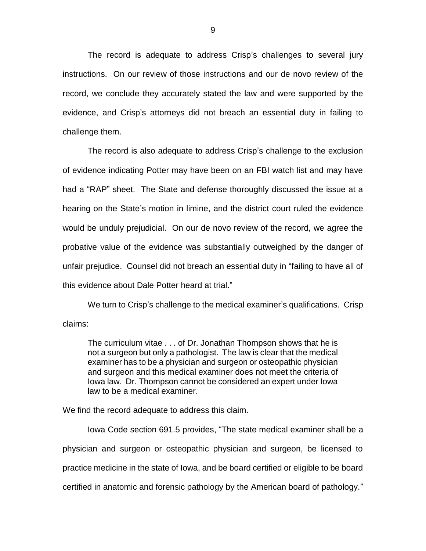The record is adequate to address Crisp's challenges to several jury instructions. On our review of those instructions and our de novo review of the record, we conclude they accurately stated the law and were supported by the evidence, and Crisp's attorneys did not breach an essential duty in failing to challenge them.

The record is also adequate to address Crisp's challenge to the exclusion of evidence indicating Potter may have been on an FBI watch list and may have had a "RAP" sheet. The State and defense thoroughly discussed the issue at a hearing on the State's motion in limine, and the district court ruled the evidence would be unduly prejudicial. On our de novo review of the record, we agree the probative value of the evidence was substantially outweighed by the danger of unfair prejudice. Counsel did not breach an essential duty in "failing to have all of this evidence about Dale Potter heard at trial."

We turn to Crisp's challenge to the medical examiner's qualifications. Crisp claims:

The curriculum vitae . . . of Dr. Jonathan Thompson shows that he is not a surgeon but only a pathologist. The law is clear that the medical examiner has to be a physician and surgeon or osteopathic physician and surgeon and this medical examiner does not meet the criteria of Iowa law. Dr. Thompson cannot be considered an expert under Iowa law to be a medical examiner.

We find the record adequate to address this claim.

Iowa Code section 691.5 provides, "The state medical examiner shall be a physician and surgeon or osteopathic physician and surgeon, be licensed to practice medicine in the state of Iowa, and be board certified or eligible to be board certified in anatomic and forensic pathology by the American board of pathology."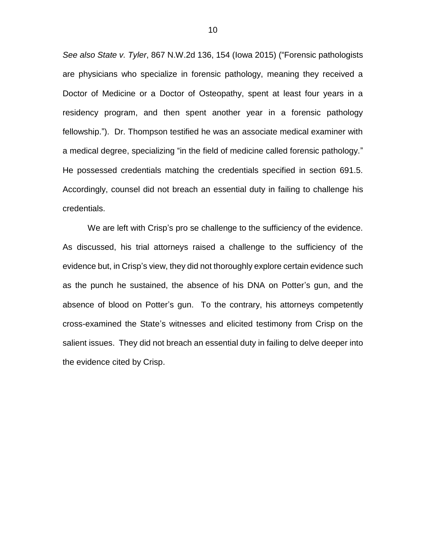*See also State v. Tyler*, 867 N.W.2d 136, 154 (Iowa 2015) ("Forensic pathologists are physicians who specialize in forensic pathology, meaning they received a Doctor of Medicine or a Doctor of Osteopathy, spent at least four years in a residency program, and then spent another year in a forensic pathology fellowship."). Dr. Thompson testified he was an associate medical examiner with a medical degree, specializing "in the field of medicine called forensic pathology." He possessed credentials matching the credentials specified in section 691.5. Accordingly, counsel did not breach an essential duty in failing to challenge his credentials.

We are left with Crisp's pro se challenge to the sufficiency of the evidence. As discussed, his trial attorneys raised a challenge to the sufficiency of the evidence but, in Crisp's view, they did not thoroughly explore certain evidence such as the punch he sustained, the absence of his DNA on Potter's gun, and the absence of blood on Potter's gun. To the contrary, his attorneys competently cross-examined the State's witnesses and elicited testimony from Crisp on the salient issues. They did not breach an essential duty in failing to delve deeper into the evidence cited by Crisp.